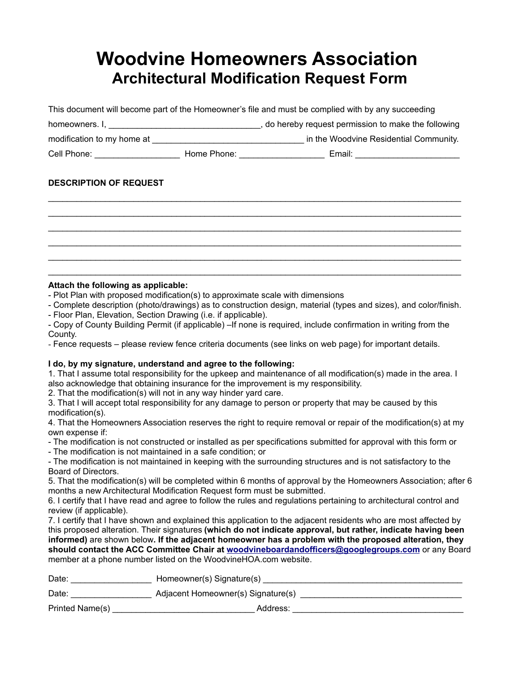## **Woodvine Homeowners Association Architectural Modification Request Form**

This document will become part of the Homeowner's file and must be complied with by any succeeding homeowners. I, \_\_\_\_\_\_\_\_\_\_\_\_\_\_\_\_\_\_\_\_\_\_\_\_\_\_\_\_\_\_\_\_, do hereby request permission to make the following modification to my home at \_\_\_\_\_\_\_\_\_\_\_\_\_\_\_\_\_\_\_\_\_\_\_\_\_\_\_\_\_\_\_\_ in the Woodvine Residential Community. Cell Phone: \_\_\_\_\_\_\_\_\_\_\_\_\_\_\_\_\_\_\_\_\_\_\_\_\_\_\_ Home Phone: \_\_\_\_\_\_\_\_\_\_\_\_\_\_\_\_\_\_\_\_\_\_\_\_\_\_\_\_ Email: \_\_\_\_\_\_\_\_\_\_\_\_\_\_\_\_\_\_\_\_\_\_

 $\_$  ,  $\_$  ,  $\_$  ,  $\_$  ,  $\_$  ,  $\_$  ,  $\_$  ,  $\_$  ,  $\_$  ,  $\_$  ,  $\_$  ,  $\_$  ,  $\_$  ,  $\_$  ,  $\_$  ,  $\_$  ,  $\_$  ,  $\_$  ,  $\_$  ,  $\_$  ,  $\_$  ,  $\_$  ,  $\_$  ,  $\_$  ,  $\_$  ,  $\_$  ,  $\_$  ,  $\_$  ,  $\_$  ,  $\_$  ,  $\_$  ,  $\_$  ,  $\_$  ,  $\_$  ,  $\_$  ,  $\_$  ,  $\_$  ,  $\_$  ,  $\_$  ,  $\_$  ,  $\_$  ,  $\_$  ,  $\_$  ,  $\_$  ,  $\_$  ,  $\_$  ,  $\_$  ,  $\_$  ,  $\_$  ,  $\_$  ,  $\_$  ,  $\_$  ,  $\_$  ,  $\_$  ,  $\_$  ,  $\_$  ,  $\_$  ,  $\_$  ,  $\_$  ,  $\_$  ,  $\_$  ,  $\_$  ,  $\_$  ,  $\_$  ,  $\_$  ,  $\_$  ,  $\_$  ,  $\_$  ,  $\_$  ,  $\_$  ,  $\_$  ,  $\_$  ,  $\_$  ,  $\_$  ,  $\_$  ,  $\_$  ,  $\_$  ,  $\_$  ,  $\_$  ,  $\_$  ,  $\_$  ,  $\_$  ,  $\_$  ,  $\_$  ,  $\_$  ,  $\_$  ,  $\_$  ,  $\_$  ,  $\_$  ,  $\_$  ,  $\_$  ,  $\_$  ,  $\_$  ,  $\_$  ,  $\_$  ,  $\_$  ,  $\_$  ,  $\_$  ,  $\_$  ,  $\_$  ,  $\_$  ,  $\_$  ,  $\_$  ,  $\_$  ,  $\_$  ,  $\_$  ,  $\_$  ,  $\_$  ,  $\_$  ,  $\_$  ,  $\_$  ,  $\_$  ,  $\_$  ,  $\_$  ,  $\_$  ,  $\_$  ,  $\_$  ,  $\_$  ,  $\_$  ,  $\_$  ,  $\_$  ,  $\_$  ,  $\_$  ,  $\_$  ,  $\_$  ,  $\_$  ,  $\_$  ,  $\_$  ,  $\_$  ,  $\_$  ,  $\_$  ,  $\_$  ,  $\_$  ,  $\_$  ,  $\_$  ,  $\_$  ,  $\_$  ,  $\_$  ,  $\_$  ,  $\_$  ,  $\_$  ,  $\_$  ,  $\_$  ,  $\_$  ,  $\_$  ,  $\_$  ,  $\_$  ,  $\_$  ,  $\_$  ,  $\_$  ,  $\_$  ,  $\_$  ,  $\_$  ,  $\_$  ,  $\_$  ,  $\_$  ,  $\_$  ,  $\_$  ,  $\_$  ,  $\_$  ,  $\_$  ,  $\_$  ,  $\_$  ,  $\_$  ,  $\_$  ,  $\_$  ,  $\_$  ,  $\_$  ,  $\_$  ,  $\_$  ,  $\_$  ,  $\_$  ,  $\_$  ,  $\_$  ,  $\_$  ,  $\_$  ,  $\_$  ,  $\_$  ,  $\_$  ,  $\_$  ,  $\_$  ,  $\_$  ,  $\_$  ,  $\_$  ,  $\_$  ,  $\_$  ,  $\_$  ,  $\_$  ,  $\_$  ,  $\_$  ,  $\_$  ,  $\_$  ,  $\_$  ,  $\_$  ,  $\_$  ,  $\_$  ,  $\_$  ,  $\_$  ,  $\_$  ,  $\_$  ,  $\_$  ,  $\_$  ,  $\_$  ,  $\_$  ,  $\_$  ,  $\_$  ,  $\_$  ,  $\_$  ,  $\_$  ,  $\_$  ,  $\_$  ,  $\_$  ,  $\_$  ,  $\_$  ,  $\_$  ,  $\_$  ,  $\_$  ,  $\_$  ,  $\_$  ,  $\_$  ,  $\_$  ,  $\_$  ,

## **DESCRIPTION OF REQUEST**

## **Attach the following as applicable:**

- Plot Plan with proposed modification(s) to approximate scale with dimensions
- Complete description (photo/drawings) as to construction design, material (types and sizes), and color/finish.
- Floor Plan, Elevation, Section Drawing (i.e. if applicable).

- Copy of County Building Permit (if applicable) –If none is required, include confirmation in writing from the County.

- Fence requests – please review fence criteria documents (see links on web page) for important details.

## **I do, by my signature, understand and agree to the following:**

1. That I assume total responsibility for the upkeep and maintenance of all modification(s) made in the area. I also acknowledge that obtaining insurance for the improvement is my responsibility.

2. That the modification(s) will not in any way hinder yard care.

3. That I will accept total responsibility for any damage to person or property that may be caused by this modification(s).

4. That the Homeowners Association reserves the right to require removal or repair of the modification(s) at my own expense if:

- The modification is not constructed or installed as per specifications submitted for approval with this form or

- The modification is not maintained in a safe condition; or

- The modification is not maintained in keeping with the surrounding structures and is not satisfactory to the Board of Directors.

5. That the modification(s) will be completed within 6 months of approval by the Homeowners Association; after 6 months a new Architectural Modification Request form must be submitted.

6. I certify that I have read and agree to follow the rules and regulations pertaining to architectural control and review (if applicable).

7. I certify that I have shown and explained this application to the adjacent residents who are most affected by this proposed alteration. Their signatures **(which do not indicate approval, but rather, indicate having been informed)** are shown below**. If the adjacent homeowner has a problem with the proposed alteration, they should contact the ACC Committee Chair at [woodvineboardandofficers@googlegroups.com](mailto:woodvineboardandofficers@googlegroups.com)** or any Board member at a phone number listed on the WoodvineHOA.com website.

| Date:           | Homeowner(s) Signature(s)          |  |
|-----------------|------------------------------------|--|
| Date:           | Adjacent Homeowner(s) Signature(s) |  |
| Printed Name(s) | Address:                           |  |